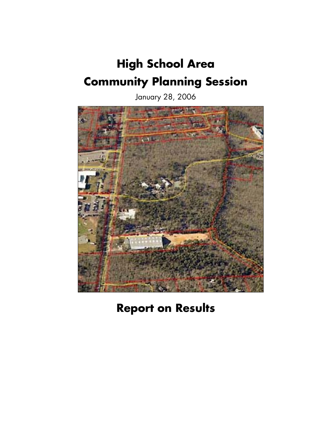# **High School Area Community Planning Session**

January 28, 2006



**Report on Results**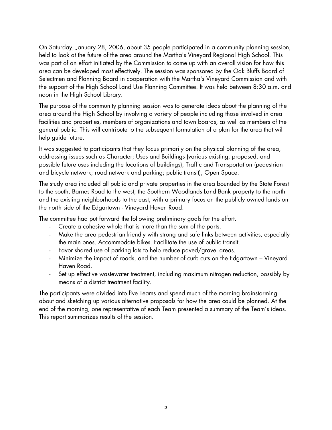On Saturday, January 28, 2006, about 35 people participated in a community planning session, held to look at the future of the area around the Martha's Vineyard Regional High School. This was part of an effort initiated by the Commission to come up with an overall vision for how this area can be developed most effectively. The session was sponsored by the Oak Bluffs Board of Selectmen and Planning Board in cooperation with the Martha's Vineyard Commission and with the support of the High School Land Use Planning Committee. It was held between 8:30 a.m. and noon in the High School Library.

The purpose of the community planning session was to generate ideas about the planning of the area around the High School by involving a variety of people including those involved in area facilities and properties, members of organizations and town boards, as well as members of the general public. This will contribute to the subsequent formulation of a plan for the area that will help guide future.

It was suggested to participants that they focus primarily on the physical planning of the area, addressing issues such as Character; Uses and Buildings (various existing, proposed, and possible future uses including the locations of buildings), Traffic and Transportation (pedestrian and bicycle network; road network and parking; public transit); Open Space.

The study area included all public and private properties in the area bounded by the State Forest to the south, Barnes Road to the west, the Southern Woodlands Land Bank property to the north and the existing neighborhoods to the east, with a primary focus on the publicly owned lands on the north side of the Edgartown - Vineyard Haven Road.

The committee had put forward the following preliminary goals for the effort.

- Create a cohesive whole that is more than the sum of the parts.
- Make the area pedestrian-friendly with strong and safe links between activities, especially the main ones. Accommodate bikes. Facilitate the use of public transit.
- Favor shared use of parking lots to help reduce paved/gravel areas.
- Minimize the impact of roads, and the number of curb cuts on the Edgartown Vineyard Haven Road.
- Set up effective wastewater treatment, including maximum nitrogen reduction, possibly by means of a district treatment facility.

The participants were divided into five Teams and spend much of the morning brainstorming about and sketching up various alternative proposals for how the area could be planned. At the end of the morning, one representative of each Team presented a summary of the Team's ideas. This report summarizes results of the session.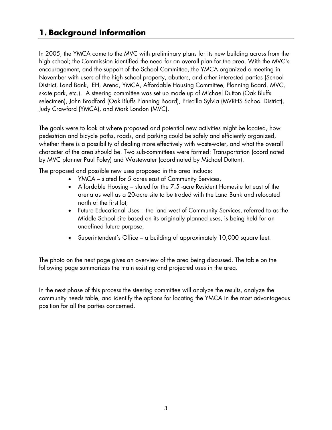## **1. Background Information**

In 2005, the YMCA came to the MVC with preliminary plans for its new building across from the high school; the Commission identified the need for an overall plan for the area. With the MVC's encouragement, and the support of the School Committee, the YMCA organized a meeting in November with users of the high school property, abutters, and other interested parties (School District, Land Bank, IEH, Arena, YMCA, Affordable Housing Committee, Planning Board, MVC, skate park, etc.). A steering committee was set up made up of Michael Dutton (Oak Bluffs selectmen), John Bradford (Oak Bluffs Planning Board), Priscilla Sylvia (MVRHS School District), Judy Crawford (YMCA), and Mark London (MVC).

The goals were to look at where proposed and potential new activities might be located, how pedestrian and bicycle paths, roads, and parking could be safely and efficiently organized, whether there is a possibility of dealing more effectively with wastewater, and what the overall character of the area should be. Two sub-committees were formed: Transportation (coordinated by MVC planner Paul Foley) and Wastewater (coordinated by Michael Dutton).

The proposed and possible new uses proposed in the area include:

- YMCA slated for 5 acres east of Community Services,
- Affordable Housing slated for the 7.5 -acre Resident Homesite lot east of the arena as well as a 20-acre site to be traded with the Land Bank and relocated north of the first lot,
- Future Educational Uses the land west of Community Services, referred to as the Middle School site based on its originally planned uses, is being held for an undefined future purpose,
- Superintendent's Office a building of approximately 10,000 square feet.

The photo on the next page gives an overview of the area being discussed. The table on the following page summarizes the main existing and projected uses in the area.

In the next phase of this process the steering committee will analyze the results, analyze the community needs table, and identify the options for locating the YMCA in the most advantageous position for all the parties concerned.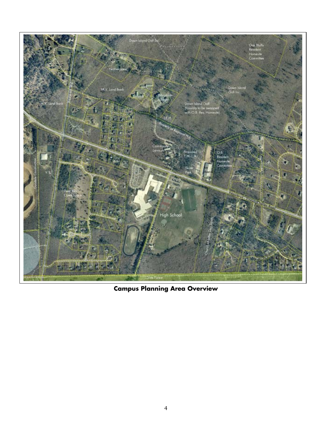

**Campus Planning Area Overview**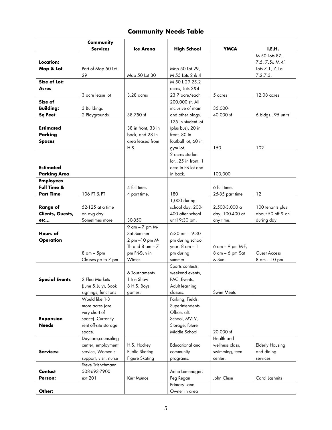## **Community Needs Table**

|                       | <b>Community</b>      |                       |                      |                  |                        |
|-----------------------|-----------------------|-----------------------|----------------------|------------------|------------------------|
|                       | <b>Services</b>       | Ice Arena             | <b>High School</b>   | <b>YMCA</b>      | I.E.H.                 |
|                       |                       |                       |                      |                  | M 50 Lots 87,          |
| Location:             |                       |                       |                      |                  | 7.5, 7.5 a M 41        |
| Map & Lot             | Part of Map 50 Lot    |                       | Map 50 Lot 29,       |                  | Lots 7.1, 7.1a,        |
|                       | 29                    | Map 50 Lot 30         | M 55 Lots 2 & 4      |                  | 7.2, 7.3.              |
| <b>Size of Lot:</b>   |                       |                       | M 50 L 29 25.2       |                  |                        |
| <b>Acres</b>          |                       |                       | acres, Lots 2&4      |                  |                        |
|                       | 3 acre lease lot      | $3.28$ acres          | 23.7 acre/each       | 5 acres          | 12.08 acres            |
| Size of               |                       |                       | 200,000 sf. All      |                  |                        |
| <b>Building:</b>      |                       |                       | inclusive of main    | 35,000-          |                        |
|                       | 3 Buildings           |                       |                      |                  |                        |
| Sq Feet               | 2 Playgrounds         | 38,750 sf             | and other bldgs.     | 40,000 sf        | 6 bldgs., 95 units     |
|                       |                       |                       | 125 in student lot   |                  |                        |
| <b>Estimated</b>      |                       | 38 in front, 33 in    | (plus bus), 20 in    |                  |                        |
| Parking               |                       | back, and 28 in       | front, 80 in         |                  |                        |
| <b>Spaces</b>         |                       | area leased from      | football lot, 60 in  |                  |                        |
|                       |                       | H.S.                  | gym lot.             | 150              | 102                    |
|                       |                       |                       | 2 acres student      |                  |                        |
|                       |                       |                       | lot, .25 in front, 1 |                  |                        |
| <b>Estimated</b>      |                       |                       | acre in FB lot and   |                  |                        |
| <b>Parking Area</b>   |                       |                       | in back.             | 100,000          |                        |
| <b>Employees</b>      |                       |                       |                      |                  |                        |
| Full Time &           |                       | 4 full time,          |                      | 6 full time,     |                        |
| <b>Part Time</b>      | 106 FT & PT           | 4 part time.          | 180                  | 25-35 part time  | 12                     |
|                       |                       |                       | 1,000 during         |                  |                        |
| <b>Range of</b>       | 52-125 at a time      |                       | school day. 200-     | 2,500-3,000 a    | 100 tenants plus       |
| Clients, Guests,      | on avg day.           |                       | 400 after school     | day, 100-400 at  | about 50 off & on      |
| etc                   | Sometimes more        | 30-350                | until 9:30 pm.       | any time.        | during day             |
|                       |                       | 9 am - 7 pm M-        |                      |                  |                        |
| Hours of              |                       | Sat Summer            | $6:30$ am $-9:30$    |                  |                        |
| <b>Operation</b>      |                       | 2 pm -10 pm M-        | pm during school     |                  |                        |
|                       |                       | Th and $8$ am $-7$    | year. 8 am - 1       | 6 am - 9 pm M-F, |                        |
|                       | 8 am - 5pm            | pm Fri-Sun in         | pm during            | 8 am - 6 pm Sat  | Guest Access           |
|                       | Classes go to 7 pm    | Winter.               | summer               | & Sun.           | 8 am - 10 pm           |
|                       |                       |                       |                      |                  |                        |
|                       |                       |                       | Sports contests,     |                  |                        |
|                       |                       | 6 Tournaments         | weekend events,      |                  |                        |
| <b>Special Events</b> | 2 Flea Markets        | 1 Ice Show            | PAC. Events,         |                  |                        |
|                       | (June & July), Book   | 8 H.S. Boys           | Adult learning       |                  |                        |
|                       | signings, functions   | games.                | classes.             | Swim Meets       |                        |
|                       | Would like 1-3        |                       | Parking, Fields,     |                  |                        |
|                       | more acres (are       |                       | Superintendents      |                  |                        |
|                       | very short of         |                       | Office, alt.         |                  |                        |
| <b>Expansion</b>      | space). Currently     |                       | School, MVTV,        |                  |                        |
| <b>Needs</b>          | rent off-site storage |                       | Storage, future      |                  |                        |
|                       | space.                |                       | Middle School        | 20,000 sf        |                        |
|                       | Daycare, counseling   |                       |                      | Health and       |                        |
|                       | center, employment    | H.S. Hockey           | Educational and      | wellness class,  | <b>Elderly Housing</b> |
| Services:             | service, Women's      | Public Skating        | community            | swimming, teen   | and dining             |
|                       | support, visit. nurse | <b>Figure Skating</b> | programs.            | center.          | services               |
|                       | Steve Trishchmann     |                       |                      |                  |                        |
| Contact               | 508-693-7900          |                       | Anne Lemenager,      |                  |                        |
| Person:               | ext 201               | Kurt Munos            | Peg Regan            | John Clese       | Carol Lashnits         |
|                       |                       |                       | Primary Land         |                  |                        |
| Other:                |                       |                       | Owner in area        |                  |                        |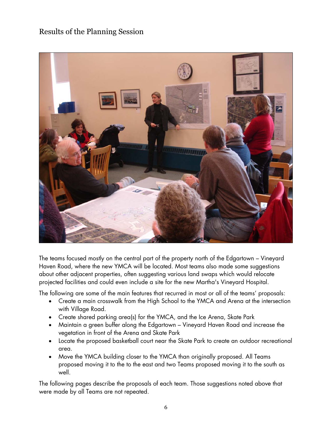### Results of the Planning Session



The teams focused mostly on the central part of the property north of the Edgartown – Vineyard Haven Road, where the new YMCA will be located. Most teams also made some suggestions about other adjacent properties, often suggesting various land swaps which would relocate projected facilities and could even include a site for the new Martha's Vineyard Hospital.

The following are some of the main features that recurred in most or all of the teams' proposals:

- Create a main crosswalk from the High School to the YMCA and Arena at the intersection with Village Road.
- Create shared parking area(s) for the YMCA, and the Ice Arena, Skate Park
- Maintain a green buffer along the Edgartown Vineyard Haven Road and increase the vegetation in front of the Arena and Skate Park
- Locate the proposed basketball court near the Skate Park to create an outdoor recreational area.
- Move the YMCA building closer to the YMCA than originally proposed. All Teams proposed moving it to the to the east and two Teams proposed moving it to the south as well.

The following pages describe the proposals of each team. Those suggestions noted above that were made by all Teams are not repeated.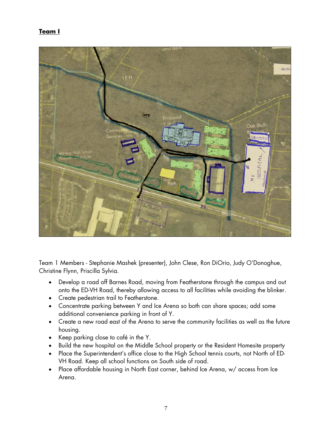#### **Team I**



Team 1 Members - Stephanie Mashek (presenter), John Clese, Ron DiOrio, Judy O'Donoghue, Christine Flynn, Priscilla Sylvia.

- Develop a road off Barnes Road, moving from Featherstone through the campus and out onto the ED-VH Road, thereby allowing access to all facilities while avoiding the blinker.
- Create pedestrian trail to Featherstone.
- Concentrate parking between Y and Ice Arena so both can share spaces; add some additional convenience parking in front of Y.
- Create a new road east of the Arena to serve the community facilities as well as the future housing.
- Keep parking close to café in the Y.
- Build the new hospital on the Middle School property or the Resident Homesite property
- Place the Superintendent's office close to the High School tennis courts, not North of ED-VH Road. Keep all school functions on South side of road.
- Place affordable housing in North East corner, behind Ice Arena, w/ access from Ice Arena.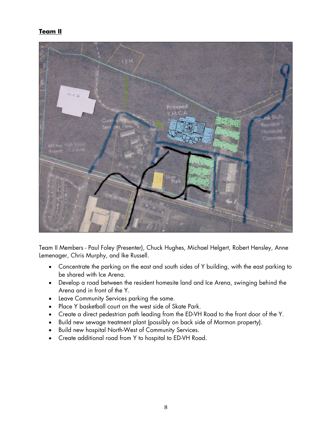#### **Team II**



Team II Members - Paul Foley (Presenter), Chuck Hughes, Michael Helgert, Robert Hensley, Anne Lemenager, Chris Murphy, and Ike Russell.

- Concentrate the parking on the east and south sides of Y building, with the east parking to be shared with Ice Arena.
- Develop a road between the resident homesite land and Ice Arena, swinging behind the Arena and in front of the Y.
- Leave Community Services parking the same.
- Place Y basketball court on the west side of Skate Park.
- Create a direct pedestrian path leading from the ED-VH Road to the front door of the Y.
- Build new sewage treatment plant (possibly on back side of Mormon property).
- Build new hospital North-West of Community Services.
- Create additional road from Y to hospital to ED-VH Road.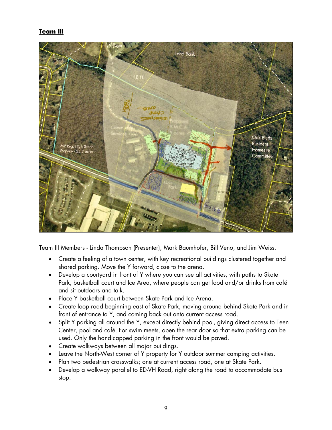#### **Team III**



Team III Members - Linda Thompson (Presenter), Mark Baumhofer, Bill Veno, and Jim Weiss.

- Create a feeling of a town center, with key recreational buildings clustered together and shared parking. Move the Y forward, close to the arena.
- Develop a courtyard in front of Y where you can see all activities, with paths to Skate Park, basketball court and Ice Area, where people can get food and/or drinks from café and sit outdoors and talk.
- Place Y basketball court between Skate Park and Ice Arena.
- Create loop road beginning east of Skate Park, moving around behind Skate Park and in front of entrance to Y, and coming back out onto current access road.
- Split Y parking all around the Y, except directly behind pool, giving direct access to Teen Center, pool and café. For swim meets, open the rear door so that extra parking can be used. Only the handicapped parking in the front would be paved.
- Create walkways between all major buildings.
- Leave the North-West corner of Y property for Y outdoor summer camping activities.
- Plan two pedestrian crosswalks; one at current access road, one at Skate Park.
- Develop a walkway parallel to ED-VH Road, right along the road to accommodate bus stop.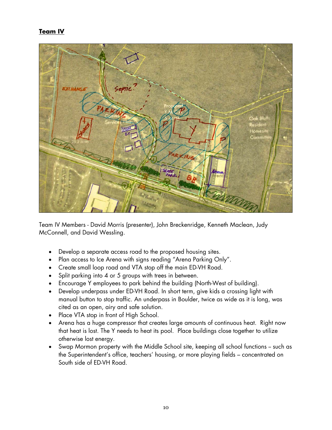#### **Team IV**



Team IV Members - David Morris (presenter), John Breckenridge, Kenneth Maclean, Judy McConnell, and David Wessling.

- Develop a separate access road to the proposed housing sites.
- Plan access to Ice Arena with signs reading "Arena Parking Only".
- Create small loop road and VTA stop off the main ED-VH Road.
- Split parking into 4 or 5 groups with trees in between.
- Encourage Y employees to park behind the building (North-West of building).
- Develop underpass under ED-VH Road. In short term, give kids a crossing light with manual button to stop traffic. An underpass in Boulder, twice as wide as it is long, was cited as an open, airy and safe solution.
- Place VTA stop in front of High School.
- Arena has a huge compressor that creates large amounts of continuous heat. Right now that heat is lost. The Y needs to heat its pool. Place buildings close together to utilize otherwise lost energy.
- Swap Mormon property with the Middle School site, keeping all school functions -- such as the Superintendent's office, teachers' housing, or more playing fields – concentrated on South side of ED-VH Road.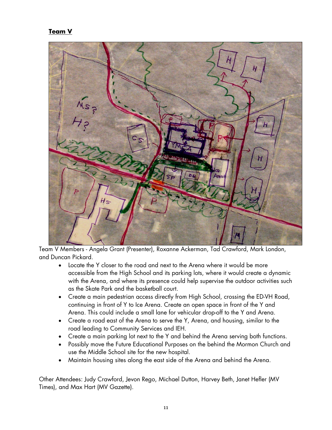#### **Team V**



Team V Members - Angela Grant (Presenter), Roxanne Ackerman, Tad Crawford, Mark London, and Duncan Pickard.

- Locate the Y closer to the road and next to the Arena where it would be more accessible from the High School and its parking lots, where it would create a dynamic with the Arena, and where its presence could help supervise the outdoor activities such as the Skate Park and the basketball court.
- Create a main pedestrian access directly from High School, crossing the ED-VH Road, continuing in front of Y to Ice Arena. Create an open space in front of the Y and Arena. This could include a small lane for vehicular drop-off to the Y and Arena.
- Create a road east of the Arena to serve the Y, Arena, and housing, similar to the road leading to Community Services and IEH.
- Create a main parking lot next to the Y and behind the Arena serving both functions.
- Possibly move the Future Educational Purposes on the behind the Mormon Church and use the Middle School site for the new hospital.
- Maintain housing sites along the east side of the Arena and behind the Arena.

Other Attendees: Judy Crawford, Jevon Rego, Michael Dutton, Harvey Beth, Janet Hefler (MV Times), and Max Hart (MV Gazette).